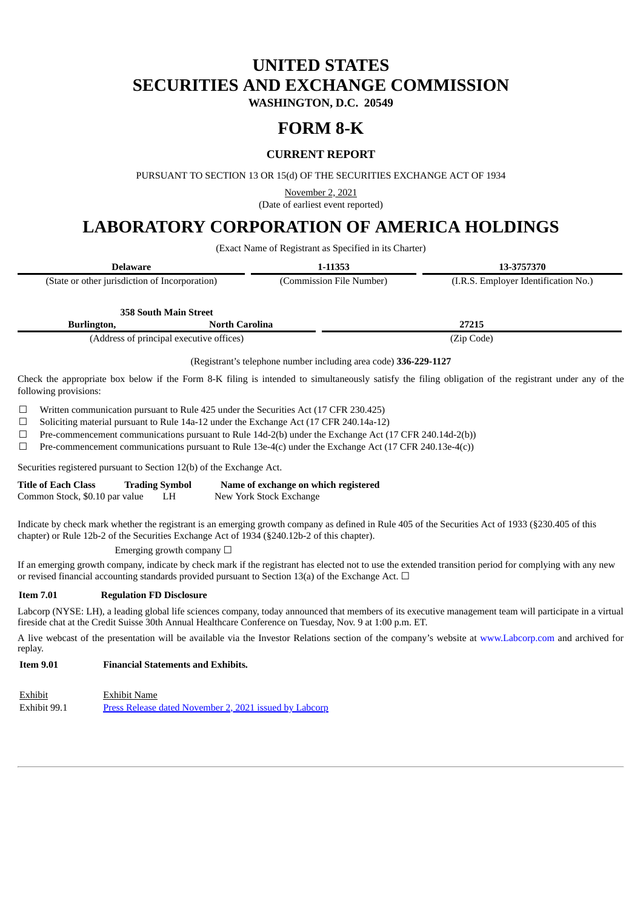# **UNITED STATES SECURITIES AND EXCHANGE COMMISSION**

**WASHINGTON, D.C. 20549**

## **FORM 8-K**

### **CURRENT REPORT**

PURSUANT TO SECTION 13 OR 15(d) OF THE SECURITIES EXCHANGE ACT OF 1934

November 2, 2021 (Date of earliest event reported)

# **LABORATORY CORPORATION OF AMERICA HOLDINGS**

(Exact Name of Registrant as Specified in its Charter)

| <b>Delaware</b>                                |                                          | 1-11353                                                          | 13-3757370                                                    |  |
|------------------------------------------------|------------------------------------------|------------------------------------------------------------------|---------------------------------------------------------------|--|
| (State or other jurisdiction of Incorporation) |                                          | (Commission File Number)                                         | (I.R.S. Employer Identification No.)                          |  |
|                                                | <b>358 South Main Street</b>             |                                                                  |                                                               |  |
| Burlington,                                    | North Carolina                           |                                                                  | 27215                                                         |  |
|                                                | (Address of principal executive offices) |                                                                  | (Zip Code)                                                    |  |
|                                                |                                          | (Registrant's telephone number including area code) 336-229-1127 |                                                               |  |
|                                                |                                          |                                                                  | olita istitutam organistication to dell'antiche di statistica |  |

Check the appropriate box below if the Form 8-K filing is intended to simultaneously satisfy the filing obligation of the registrant under any of the following provisions:

☐ Written communication pursuant to Rule 425 under the Securities Act (17 CFR 230.425)

☐ Soliciting material pursuant to Rule 14a-12 under the Exchange Act (17 CFR 240.14a-12)

☐ Pre-commencement communications pursuant to Rule 14d-2(b) under the Exchange Act (17 CFR 240.14d-2(b))

 $\Box$  Pre-commencement communications pursuant to Rule 13e-4(c) under the Exchange Act (17 CFR 240.13e-4(c))

Securities registered pursuant to Section 12(b) of the Exchange Act.

| <b>Title of Each Class</b>     | <b>Trading Symbol</b> | Name of exchange on which registered |
|--------------------------------|-----------------------|--------------------------------------|
| Common Stock, \$0.10 par value |                       | New York Stock Exchange              |

Indicate by check mark whether the registrant is an emerging growth company as defined in Rule 405 of the Securities Act of 1933 (§230.405 of this chapter) or Rule 12b-2 of the Securities Exchange Act of 1934 (§240.12b-2 of this chapter).

Emerging growth company  $\Box$ 

If an emerging growth company, indicate by check mark if the registrant has elected not to use the extended transition period for complying with any new or revised financial accounting standards provided pursuant to Section 13(a) of the Exchange Act.  $\Box$ 

### **Item 7.01 Regulation FD Disclosure**

Labcorp (NYSE: LH), a leading global life sciences company, today announced that members of its executive management team will participate in a virtual fireside chat at the Credit Suisse 30th Annual Healthcare Conference on Tuesday, Nov. 9 at 1:00 p.m. ET.

A live webcast of the presentation will be available via the Investor Relations section of the company's website at www.Labcorp.com and archived for replay.

### **Item 9.01 Financial Statements and Exhibits.**

Exhibit Exhibit Name Exhibit 99.1 Press [Release](#page-2-0) dated [November](#page-2-0) [2](#page-2-0), 2021 issued by [Labcorp](#page-2-0)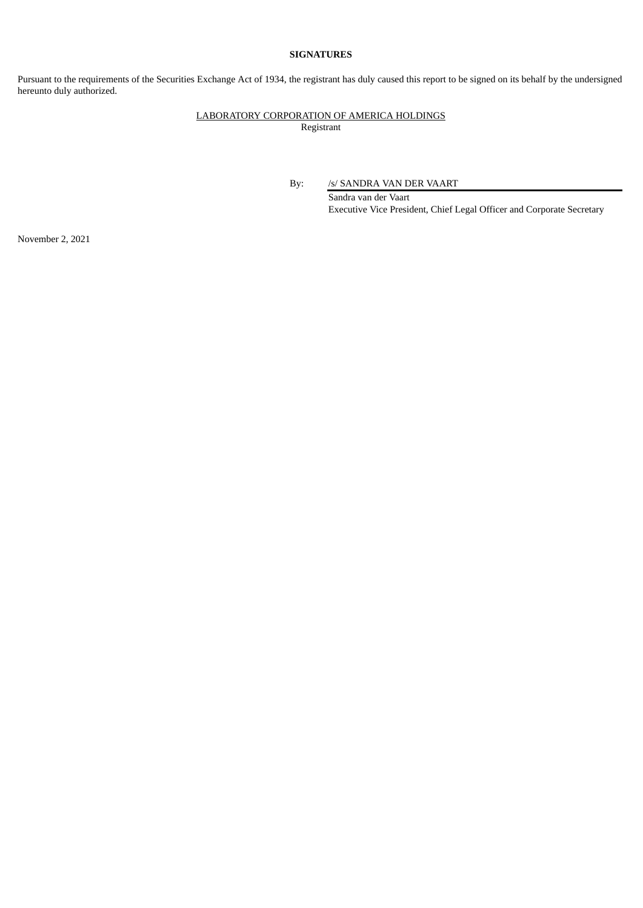### **SIGNATURES**

Pursuant to the requirements of the Securities Exchange Act of 1934, the registrant has duly caused this report to be signed on its behalf by the undersigned hereunto duly authorized.

### LABORATORY CORPORATION OF AMERICA HOLDINGS Registrant

By: /s/ SANDRA VAN DER VAART

Sandra van der Vaart Executive Vice President, Chief Legal Officer and Corporate Secretary

November 2, 2021